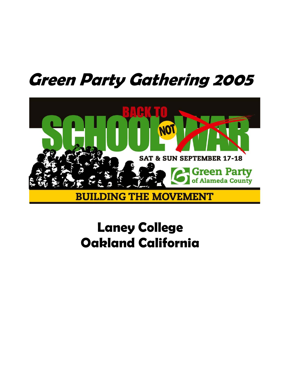# **Green Party Gathering 2005**



## **Laney College Oakland California**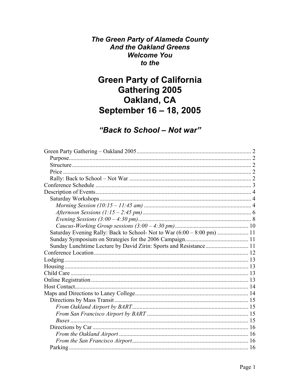The Green Party of Alameda County **And the Oakland Greens Welcome You** to the

## **Green Party of California Gathering 2005** Oakland, CA September 16 - 18, 2005

## "Back to School - Not war"

| Sunday Lunchtime Lecture by David Zirin: Sports and Resistance  11 |  |
|--------------------------------------------------------------------|--|
|                                                                    |  |
|                                                                    |  |
|                                                                    |  |
|                                                                    |  |
|                                                                    |  |
|                                                                    |  |
|                                                                    |  |
|                                                                    |  |
|                                                                    |  |
|                                                                    |  |
|                                                                    |  |
|                                                                    |  |
|                                                                    |  |
|                                                                    |  |
|                                                                    |  |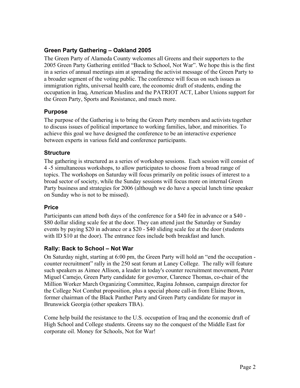#### **Green Party Gathering – Oakland 2005**

The Green Party of Alameda County welcomes all Greens and their supporters to the 2005 Green Party Gathering entitled "Back to School, Not War". We hope this is the first in a series of annual meetings aim at spreading the activist message of the Green Party to a broader segment of the voting public. The conference will focus on such issues as immigration rights, universal health care, the economic draft of students, ending the occupation in Iraq, American Muslins and the PATRIOT ACT, Labor Unions support for the Green Party, Sports and Resistance, and much more.

#### **Purpose**

The purpose of the Gathering is to bring the Green Party members and activists together to discuss issues of political importance to working families, labor, and minorities. To achieve this goal we have designed the conference to be an interactive experience between experts in various field and conference participants.

#### **Structure**

The gathering is structured as a series of workshop sessions. Each session will consist of 4 -5 simultaneous workshops, to allow participates to choose from a broad range of topics. The workshops on Saturday will focus primarily on politic issues of interest to a broad sector of society, while the Sunday sessions will focus more on internal Green Party business and strategies for 2006 (although we do have a special lunch time speaker on Sunday who is not to be missed).

#### **Price**

Participants can attend both days of the conference for a \$40 fee in advance or a \$40 - \$80 dollar sliding scale fee at the door. They can attend just the Saturday or Sunday events by paying \$20 in advance or a \$20 - \$40 sliding scale fee at the door (students with ID \$10 at the door). The entrance fees include both breakfast and lunch.

#### **Rally: Back to School – Not War**

On Saturday night, starting at 6:00 pm, the Green Party will hold an "end the occupation counter recruitment" rally in the 250 seat forum at Laney College. The rally will feature such speakers as Aimee Allison, a leader in today's counter recruitment movement, Peter Miguel Camejo, Green Party candidate for governor, Clarence Thomas, co-chair of the Million Worker March Organizing Committee, Ragina Johnson, campaign director for the College Not Combat proposition, plus a special phone call-in from Elaine Brown, former chairman of the Black Panther Party and Green Party candidate for mayor in Brunswick Georgia (other speakers TBA).

Come help build the resistance to the U.S. occupation of Iraq and the economic draft of High School and College students. Greens say no the conquest of the Middle East for corporate oil. Money for Schools, Not for War!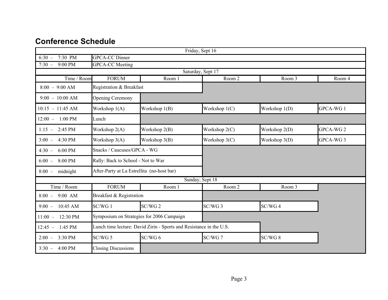### **Conference Schedule**

| Friday, Sept 16           |                                            |                                                                     |                 |               |                      |  |  |  |
|---------------------------|--------------------------------------------|---------------------------------------------------------------------|-----------------|---------------|----------------------|--|--|--|
| 7:30 PM<br>$6:30 -$       | <b>GPCA-CC Dinner</b>                      |                                                                     |                 |               |                      |  |  |  |
| 9:00 PM<br>$7:30 -$       | <b>GPCA-CC</b> Meeting                     |                                                                     |                 |               |                      |  |  |  |
| Saturday, Sept 17         |                                            |                                                                     |                 |               |                      |  |  |  |
| Time / Room               | <b>FORUM</b>                               | Room 1                                                              | Room 2          | Room 3        | Room 4               |  |  |  |
| $8:00 - 9:00$ AM          | Registration & Breakfast                   |                                                                     |                 |               |                      |  |  |  |
| $9:00 - 10:00$ AM         | <b>Opening Ceremony</b>                    |                                                                     |                 |               |                      |  |  |  |
| $10:15 - 11:45$ AM        | Workshop 1(A)                              | Workshop 1(B)                                                       | Workshop $1(C)$ | Workshop 1(D) | GPCA-WG1             |  |  |  |
| $12:00 - 1:00 \text{ PM}$ | Lunch                                      |                                                                     |                 |               |                      |  |  |  |
| $1:15 - 2:45 \text{ PM}$  | Workshop 2(A)                              | Workshop 2(B)                                                       | Workshop 2(C)   | Workshop 2(D) | GPCA-WG <sub>2</sub> |  |  |  |
| 4:30 PM<br>$3:00 -$       | Workshop 3(A)                              | Workshop 3(B)                                                       | Workshop 3(C)   | Workshop 3(D) | GPCA-WG3             |  |  |  |
| 6:00 PM<br>$4:30 -$       | Snacks / Caucuses/GPCA - WG                |                                                                     |                 |               |                      |  |  |  |
| 8:00 PM<br>$6:00 -$       | Rally: Back to School - Not to War         |                                                                     |                 |               |                      |  |  |  |
| midnight<br>$8:00 -$      | After-Party at La Estrellita (no-host bar) |                                                                     |                 |               |                      |  |  |  |
|                           |                                            |                                                                     | Sunday, Sept 18 |               |                      |  |  |  |
| Time / Room               | <b>FORUM</b>                               | Room 1                                                              | Room 2          | Room 3        |                      |  |  |  |
| $8:00 - 9:00$ AM          | Breakfast & Registration                   |                                                                     |                 |               |                      |  |  |  |
| 10:45 AM<br>$9:00 -$      | SC/WG 1                                    | SC/WG <sub>2</sub>                                                  | SC/WG 3         | SC/WG 4       |                      |  |  |  |
| 12:30 PM<br>$11:00 -$     |                                            | Symposium on Strategies for 2006 Campaign                           |                 |               |                      |  |  |  |
| 1:45 PM<br>$12:45 -$      |                                            | Lunch time lecture: David Zirin - Sports and Resistance in the U.S. |                 |               |                      |  |  |  |
| 3:30 PM<br>$2:00 -$       | $SC/WG$ 5                                  | $SC/WG$ 6                                                           | SC/WG 7         | SC/WG 8       |                      |  |  |  |
| 4:00 PM<br>$3:30 -$       | <b>Closing Discussions</b>                 |                                                                     |                 |               |                      |  |  |  |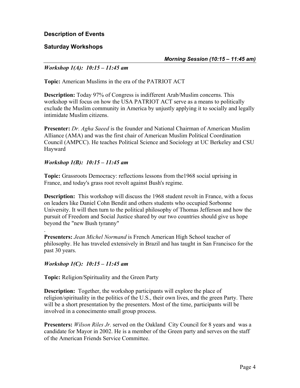**Description of Events** 

#### **Saturday Workshops**

*Morning Session (10:15 – 11:45 am)* 

#### *Workshop 1(A): 10:15 – 11:45 am*

**Topic:** American Muslims in the era of the PATRIOT ACT

**Description:** Today 97% of Congress is indifferent Arab/Muslim concerns. This workshop will focus on how the USA PATRIOT ACT serve as a means to politically exclude the Muslim community in America by unjustly applying it to socially and legally intimidate Muslim citizens.

**Presenter:** *Dr. Agha Saeed* is the founder and National Chairman of American Muslim Alliance (AMA) and was the first chair of American Muslim Political Coordination Council (AMPCC). He teaches Political Science and Sociology at UC Berkeley and CSU Hayward

#### *Workshop 1(B): 10:15 – 11:45 am*

**Topic:** Grassroots Democracy: reflections lessons from the1968 social uprising in France, and today's grass root revolt against Bush's regime.

**Description:** This workshop will discuss the 1968 student revolt in France, with a focus on leaders like Daniel Cohn Bendit and others students who occupied Sorbonne University. It will then turn to the political philosophy of Thomas Jefferson and how the pursuit of Freedom and Social Justice shared by our two countries should give us hope beyond the "new Bush tyranny"

**Presenters:** *Jean Michel Normand* is French American High School teacher of philosophy. He has traveled extensively in Brazil and has taught in San Francisco for the past 30 years.

#### *Workshop 1(C): 10:15 – 11:45 am*

.

**Topic:** Religion/Spirituality and the Green Party

**Description:** Together, the workshop participants will explore the place of religion/spirituality in the politics of the U.S., their own lives, and the green Party. There will be a short presentation by the presenters. Most of the time, participants will be involved in a conocimento small group process.

**Presenters:** *Wilson Riles Jr.* served on the Oakland City Council for 8 years and was a candidate for Mayor in 2002. He is a member of the Green party and serves on the staff of the American Friends Service Committee.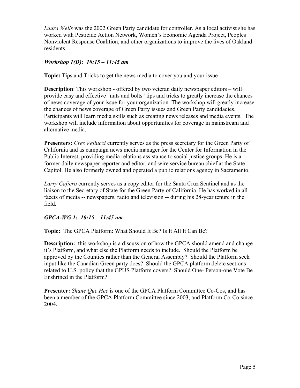*Laura Wells* was the 2002 Green Party candidate for controller. As a local activist she has worked with Pesticide Action Network, Women's Economic Agenda Project, Peoples Nonviolent Response Coalition, and other organizations to improve the lives of Oakland residents.

#### *Workshop 1(D): 10:15 – 11:45 am*

**Topic:** Tips and Tricks to get the news media to cover you and your issue

**Description**: This workshop - offered by two veteran daily newspaper editors – will provide easy and effective "nuts and bolts" tips and tricks to greatly increase the chances of news coverage of your issue for your organization. The workshop will greatly increase the chances of news coverage of Green Party issues and Green Party candidacies. Participants will learn media skills such as creating news releases and media events. The workshop will include information about opportunities for coverage in mainstream and alternative media.

**Presenters:** *Cres Vellucci* currently serves as the press secretary for the Green Party of California and as campaign news media manager for the Center for Information in the Public Interest, providing media relations assistance to social justice groups. He is a former daily newspaper reporter and editor, and wire service bureau chief at the State Capitol. He also formerly owned and operated a public relations agency in Sacramento.

*Larry Cafiero* currently serves as a copy editor for the Santa Cruz Sentinel and as the liaison to the Secretary of State for the Green Party of California. He has worked in all facets of media -- newspapers, radio and television -- during his 28-year tenure in the field.

#### *GPCA-WG 1: 10:15 – 11:45 am*

**Topic:** The GPCA Platform: What Should It Be? Is It All It Can Be?

**Description:** this workshop is a discussion of how the GPCA should amend and change it's Platform, and what else the Platform needs to include. Should the Platform be approved by the Counties rather than the General Assembly? Should the Platform seek input like the Canadian Green party does? Should the GPCA platform delete sections related to U.S. policy that the GPUS Platform covers? Should One- Person-one Vote Be Enshrined in the Platform?

**Presenter:** *Shane Que Hee* is one of the GPCA Platform Committee Co-Cos, and has been a member of the GPCA Platform Committee since 2003, and Platform Co-Co since 2004.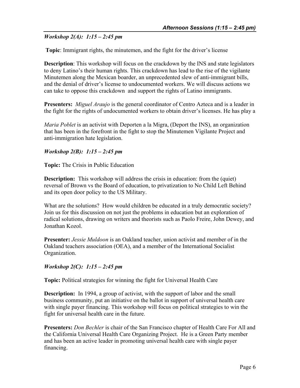#### *Workshop 2(A): 1:15 – 2:45 pm*

**Topic**: Immigrant rights, the minutemen, and the fight for the driver's license

**Description**: This workshop will focus on the crackdown by the INS and state legislators to deny Latino's their human rights. This crackdown has lead to the rise of the vigilante Minutemen along the Mexican boarder, an unprecedented slew of anti-immigrant bills, and the denial of driver's license to undocumented workers. We will discuss actions we can take to oppose this crackdown and support the rights of Latino immigrants.

**Presenters:** *Miguel Araujo* is the general coordinator of Centro Azteca and is a leader in the fight for the rights of undocumented workers to obtain driver's licenses. He has play a

*Maria Poblet* is an activist with Deporten a la Migra, (Deport the INS), an organization that has been in the forefront in the fight to stop the Minutemen Vigilante Project and anti-immigration hate legislation.

#### *Workshop 2(B): 1:15 – 2:45 pm*

**Topic:** The Crisis in Public Education

**Description:** This workshop will address the crisis in education: from the (quiet) reversal of Brown vs the Board of education, to privatization to No Child Left Behind and its open door policy to the US Military.

What are the solutions? How would children be educated in a truly democratic society? Join us for this discussion on not just the problems in education but an exploration of radical solutions, drawing on writers and theorists such as Paolo Freire, John Dewey, and Jonathan Kozol.

**Presenter:** *Jessie Muldoon* is an Oakland teacher, union activist and member of in the Oakland teachers association (OEA), and a member of the International Socialist Organization.

#### *Workshop 2(C): 1:15 – 2:45 pm*

**Topic:** Political strategies for winning the fight for Universal Health Care

**Description:** In 1994, a group of activist, with the support of labor and the small business community, put an initiative on the ballot in support of universal health care with single payer financing. This workshop will focus on political strategies to win the fight for universal health care in the future.

**Presenters:** *Don Bechler* is chair of the San Francisco chapter of Health Care For All and the California Universal Health Care Organizing Project. He is a Green Party member and has been an active leader in promoting universal health care with single payer financing.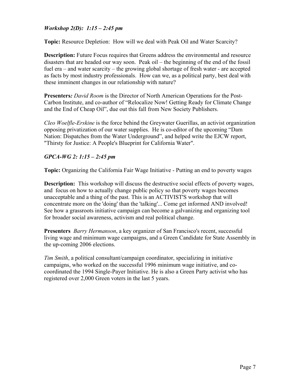#### *Workshop 2(D): 1:15 – 2:45 pm*

**Topic:** Resource Depletion: How will we deal with Peak Oil and Water Scarcity?

**Description:** Future Focus requires that Greens address the environmental and resource disasters that are headed our way soon. Peak oil – the beginning of the end of the fossil fuel era – and water scarcity – the growing global shortage of fresh water - are accepted as facts by most industry professionals. How can we, as a political party, best deal with these imminent changes in our relationship with nature?

**Presenters***: David Room* is the Director of North American Operations for the Post-Carbon Institute, and co-author of "Relocalize Now! Getting Ready for Climate Change and the End of Cheap Oil", due out this fall from New Society Publishers.

*Cleo Woelfle-Erskine* is the force behind the Greywater Guerillas, an activist organization opposing privatization of our water supplies. He is co-editor of the upcoming "Dam Nation: Dispatches from the Water Underground", and helped write the EJCW report, "Thirsty for Justice: A People's Blueprint for California Water".

#### *GPCA-WG 2: 1:15 – 2:45 pm*

**Topic:** Organizing the California Fair Wage Initiative - Putting an end to poverty wages

**Description:** This workshop will discuss the destructive social effects of poverty wages, and focus on how to actually change public policy so that poverty wages becomes unacceptable and a thing of the past. This is an ACTIVIST'S workshop that will concentrate more on the 'doing' than the 'talking'... Come get informed AND involved! See how a grassroots initiative campaign can become a galvanizing and organizing tool for broader social awareness, activism and real political change.

**Presenters** *Barry Hermanson*, a key organizer of San Francisco's recent, successful living wage and minimum wage campaigns, and a Green Candidate for State Assembly in the up-coming 2006 elections.

*Tim Smith*, a political consultant/campaign coordinator, specializing in initiative campaigns, who worked on the successful 1996 minimum wage initiative, and cocoordinated the 1994 Single-Payer Initiative. He is also a Green Party activist who has registered over 2,000 Green voters in the last 5 years.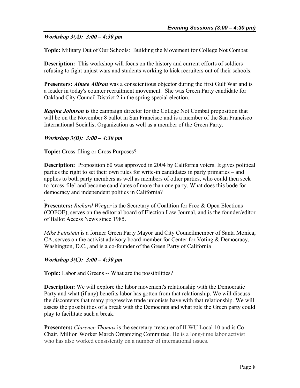#### *Workshop 3(A): 3:00 – 4:30 pm*

**Topic:** Military Out of Our Schools: Building the Movement for College Not Combat

**Description:** This workshop will focus on the history and current efforts of soldiers refusing to fight unjust wars and students working to kick recruiters out of their schools.

**Presenters:** *Aimee Allison* was a conscientious objector during the first Gulf War and is a leader in today's counter recruitment movement. She was Green Party candidate for Oakland City Council District 2 in the spring special election.

*Ragina Johnson* is the campaign director for the College Not Combat proposition that will be on the November 8 ballot in San Francisco and is a member of the San Francisco International Socialist Organization as well as a member of the Green Party.

#### *Workshop 3(B): 3:00 – 4:30 pm*

**Topic:** Cross-filing or Cross Purposes?

**Description:** Proposition 60 was approved in 2004 by California voters. It gives political parties the right to set their own rules for write-in candidates in party primaries – and applies to both party members as well as members of other parties, who could then seek to 'cross-file' and become candidates of more than one party. What does this bode for democracy and independent politics in California?

**Presenters:** *Richard Winger* is the Secretary of Coalition for Free & Open Elections (COFOE), serves on the editorial board of Election Law Journal, and is the founder/editor of Ballot Access News since 1985.

*Mike Feinstein* is a former Green Party Mayor and City Councilmember of Santa Monica, CA, serves on the activist advisory board member for Center for Voting & Democracy, Washington, D.C., and is a co-founder of the Green Party of California

#### *Workshop 3(C): 3:00 – 4:30 pm*

.

**Topic:** Labor and Greens -- What are the possibilities?

**Description:** We will explore the labor movement's relationship with the Democratic Party and what (if any) benefits labor has gotten from that relationship. We will discuss the discontents that many progressive trade unionists have with that relationship. We will assess the possibilities of a break with the Democrats and what role the Green party could play to facilitate such a break.

**Presenters:** *Clarence Thomas* is the secretary-treasurer of ILWU Local 10 and is Co-Chair, Million Worker March Organizing Committee. He is a long-time labor activist who has also worked consistently on a number of international issues.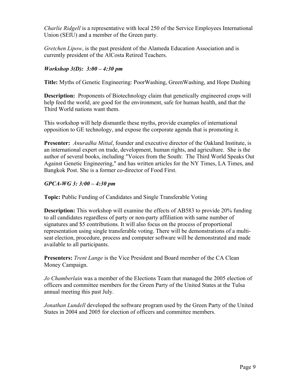*Charlie Ridgell* is a representative with local 250 of the Service Employees International Union (SEIU) and a member of the Green party.

*Gretchen Lipow*, is the past president of the Alameda Education Association and is currently president of the AlCosta Retired Teachers.

#### *Workshop 3(D): 3:00 – 4:30 pm*

**Title:** Myths of Genetic Engineering: PoorWashing, GreenWashing, and Hope Dashing

**Description:** Proponents of Biotechnology claim that genetically engineered crops will help feed the world, are good for the environment, safe for human health, and that the Third World nations want them.

This workshop will help dismantle these myths, provide examples of international opposition to GE technology, and expose the corporate agenda that is promoting it.

**Presenter:** *Anuradha Mittal*, founder and executive director of the Oakland Institute, is an international expert on trade, development, human rights, and agriculture. She is the author of several books, including "Voices from the South: The Third World Speaks Out Against Genetic Engineering," and has written articles for the NY Times, LA Times, and Bangkok Post. She is a former co-director of Food First.

#### *GPCA-WG 3: 3:00 – 4:30 pm*

**Topic:** Public Funding of Candidates and Single Transferable Voting

**Description:** This workshop will examine the effects of AB583 to provide 20% funding to all candidates regardless of party or non-party affiliation with same number of signatures and \$5 contributions. It will also focus on the process of proportional representation using single transferable voting. There will be demonstrations of a multiseat election, procedure, process and computer software will be demonstrated and made available to all participants.

**Presenters:** *Trent Lange* is the Vice President and Board member of the CA Clean Money Campaign.

*Jo Chamberlain* was a member of the Elections Team that managed the 2005 election of officers and committee members for the Green Party of the United States at the Tulsa annual meeting this past July.

*Jonathan Lundell* developed the software program used by the Green Party of the United States in 2004 and 2005 for election of officers and committee members.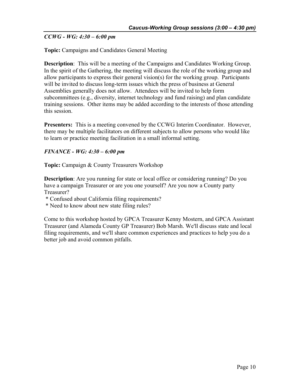#### *CCWG - WG: 4:30 – 6:00 pm*

#### **Topic:** Campaigns and Candidates General Meeting

**Description**: This will be a meeting of the Campaigns and Candidates Working Group. In the spirit of the Gathering, the meeting will discuss the role of the working group and allow participants to express their general vision(s) for the working group. Participants will be invited to discuss long-term issues which the press of business at General Assemblies generally does not allow. Attendees will be invited to help form subcommittees (e.g., diversity, internet technology and fund raising) and plan candidate training sessions. Other items may be added according to the interests of those attending this session.

**Presenters:** This is a meeting convened by the CCWG Interim Coordinator. However, there may be multiple facilitators on different subjects to allow persons who would like to learn or practice meeting facilitation in a small informal setting.

#### *FINANCE - WG: 4:30 – 6:00 pm*

**Topic:** Campaign & County Treasurers Workshop

**Description**: Are you running for state or local office or considering running? Do you have a campaign Treasurer or are you one yourself? Are you now a County party Treasurer?

- \* Confused about California filing requirements?
- \* Need to know about new state filing rules?

Come to this workshop hosted by GPCA Treasurer Kenny Mostern, and GPCA Assistant Treasurer (and Alameda County GP Treasurer) Bob Marsh. We'll discuss state and local filing requirements, and we'll share common experiences and practices to help you do a better job and avoid common pitfalls.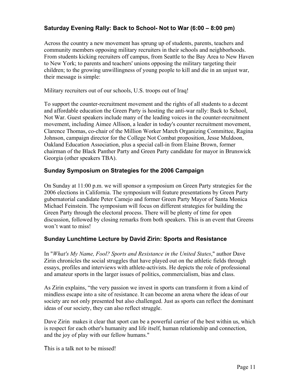#### **Saturday Evening Rally: Back to School- Not to War (6:00 – 8:00 pm)**

Across the country a new movement has sprung up of students, parents, teachers and community members opposing military recruiters in their schools and neighborhoods. From students kicking recruiters off campus, from Seattle to the Bay Area to New Haven to New York; to parents and teachers' unions opposing the military targeting their children; to the growing unwillingness of young people to kill and die in an unjust war, their message is simple:

Military recruiters out of our schools, U.S. troops out of Iraq!

To support the counter-recruitment movement and the rights of all students to a decent and affordable education the Green Party is hosting the anti-war rally: Back to School, Not War. Guest speakers include many of the leading voices in the counter-recruitment movement, including Aimee Allison, a leader in today's counter recruitment movement, Clarence Thomas, co-chair of the Million Worker March Organizing Committee, Ragina Johnson, campaign director for the College Not Combat proposition, Jesse Muldoon, Oakland Education Association, plus a special call-in from Elaine Brown, former chairman of the Black Panther Party and Green Party candidate for mayor in Brunswick Georgia (other speakers TBA).

#### **Sunday Symposium on Strategies for the 2006 Campaign**

On Sunday at 11:00 p.m. we will sponsor a symposium on Green Party strategies for the 2006 elections in California. The symposium will feature presentations by Green Party gubernatorial candidate Peter Camejo and former Green Party Mayor of Santa Monica Michael Feinstein. The symposium will focus on different strategies for building the Green Party through the electoral process. There will be plenty of time for open discussion, followed by closing remarks from both speakers. This is an event that Greens won't want to miss!

#### **Sunday Lunchtime Lecture by David Zirin: Sports and Resistance**

In "*What's My Name, Fool? Sports and Resistance in the United States*," author Dave Zirin chronicles the social struggles that have played out on the athletic fields through essays, profiles and interviews with athlete-activists. He depicts the role of professional and amateur sports in the larger issues of politics, commercialism, bias and class.

As Zirin explains, "the very passion we invest in sports can transform it from a kind of mindless escape into a site of resistance. It can become an arena where the ideas of our society are not only presented but also challenged. Just as sports can reflect the dominant ideas of our society, they can also reflect struggle.

Dave Zirin makes it clear that sport can be a powerful carrier of the best within us, which is respect for each other's humanity and life itself, human relationship and connection, and the joy of play with our fellow humans."

This is a talk not to be missed!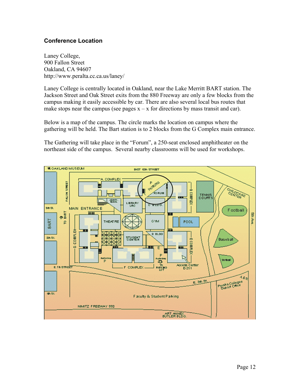#### **Conference Location**

Laney College, 900 Fallon Street Oakland, CA 94607 http://www.peralta.cc.ca.us/laney/

Laney College is centrally located in Oakland, near the Lake Merritt BART station. The Jackson Street and Oak Street exits from the 880 Freeway are only a few blocks from the campus making it easily accessible by car. There are also several local bus routes that make stops near the campus (see pages  $x - x$  for directions by mass transit and car).

Below is a map of the campus. The circle marks the location on campus where the gathering will be held. The Bart station is to 2 blocks from the G Complex main entrance.

The Gathering will take place in the "Forum", a 250-seat enclosed amphitheater on the northeast side of the campus. Several nearby classrooms will be used for workshops.

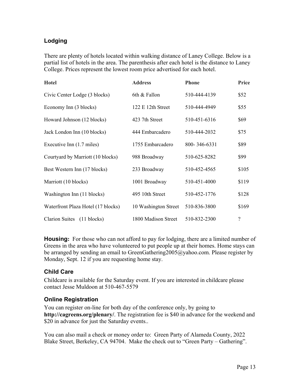#### **Lodging**

There are plenty of hotels located within walking distance of Laney College. Below is a partial list of hotels in the area. The parenthesis after each hotel is the distance to Laney College. Prices represent the lowest room price advertised for each hotel.

| <b>Hotel</b>                       | <b>Address</b>       | <b>Phone</b> | Price                    |
|------------------------------------|----------------------|--------------|--------------------------|
| Civic Center Lodge (3 blocks)      | 6th & Fallon         | 510-444-4139 | \$52                     |
| Economy Inn (3 blocks)             | 122 E 12th Street    | 510-444-4949 | \$55                     |
| Howard Johnson (12 blocks)         | 423 7th Street       | 510-451-6316 | \$69                     |
| Jack London Inn (10 blocks)        | 444 Embarcadero      | 510-444-2032 | \$75                     |
| Executive Inn (1.7 miles)          | 1755 Embarcadero     | 800-346-6331 | \$89                     |
| Courtyard by Marriott (10 blocks)  | 988 Broadway         | 510-625-8282 | \$99                     |
| Best Western Inn (17 blocks)       | 233 Broadway         | 510-452-4565 | \$105                    |
| Marriott (10 blocks)               | 1001 Broadway        | 510-451-4000 | \$119                    |
| Washington Inn (11 blocks)         | 495 10th Street      | 510-452-1776 | \$128                    |
| Waterfront Plaza Hotel (17 blocks) | 10 Washington Street | 510-836-3800 | \$169                    |
| Clarion Suites (11 blocks)         | 1800 Madison Street  | 510-832-2300 | $\overline{\mathcal{C}}$ |

**Housing:** For those who can not afford to pay for lodging, there are a limited number of Greens in the area who have volunteered to put people up at their homes. Home stays can be arranged by sending an email to GreenGathering2005@yahoo.com. Please register by Monday, Sept. 12 if you are requesting home stay.

#### **Child Care**

Childcare is available for the Saturday event. If you are interested in childcare please contact Jesse Muldoon at 510-467-5579

#### **Online Registration**

You can register on-line for both day of the conference only, by going to **http://cagreens.org/plenary/**. The registration fee is \$40 in advance for the weekend and \$20 in advance for just the Saturday events..

You can also mail a check or money order to: Green Party of Alameda County, 2022 Blake Street, Berkeley, CA 94704. Make the check out to "Green Party – Gathering".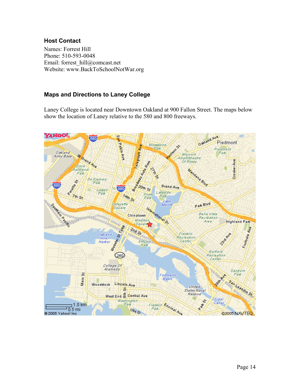#### **Host Contact**

Names: Forrest Hill Phone: 510-593-0048 Email: forrest\_hill@comcast.net Website: www.BackToSchoolNotWar.org

#### **Maps and Directions to Laney College**

Laney College is located near Downtown Oakland at 900 Fallon Street. The maps below show the location of Laney relative to the 580 and 800 freeways.

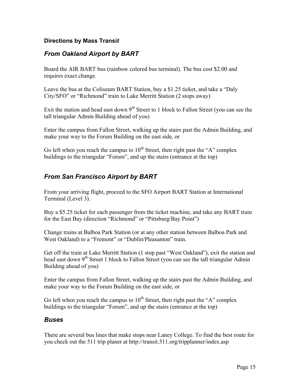#### **Directions by Mass Transi***t*

#### *From Oakland Airport by BART*

Board the AIR BART bus (rainbow colored bus terminal). The bus cost \$2.00 and requires exact change.

Leave the bus at the Coliseum BART Station, buy a \$1.25 ticket, and take a "Daly City/SFO" or "Richmond" train to Lake Merritt Station (2 stops away)

Exit the station and head east down  $9<sup>th</sup>$  Street to 1 block to Fallon Street (you can see the tall triangular Admin Building ahead of you)

Enter the campus from Fallon Street, walking up the stairs past the Admin Building, and make your way to the Forum Building on the east side, or

Go left when you reach the campus to  $10^{th}$  Street, then right past the "A" complex buildings to the triangular "Forum", and up the stairs (entrance at the top)

#### *From San Francisco Airport by BART*

From your arriving flight, proceed to the SFO Airport BART Station at International Terminal (Level 3).

Buy a \$5.25 ticket for each passenger from the ticket machine, and take any BART train for the East Bay (direction "Richmond" or "Pittsburg/Bay Point")

Change trains at Balboa Park Station (or at any other station between Balboa Park and West Oakland) to a "Fremont" or "Dublin/Pleasanton" train.

Get off the train at Lake Merritt Station (1 stop past "West Oakland"), exit the station and head east down  $9<sup>th</sup>$  Street 1 block to Fallon Street (you can see the tall triangular Admin Building ahead of you)

Enter the campus from Fallon Street, walking up the stairs past the Admin Building, and make your way to the Forum Building on the east side, or

Go left when you reach the campus to  $10^{th}$  Street, then right past the "A" complex buildings to the triangular "Forum", and up the stairs (entrance at the top)

#### *Buses*

There are several bus lines that make stops near Laney College. To find the best route for you check out the 511 trip planer at http://transit.511.org/tripplanner/index.asp